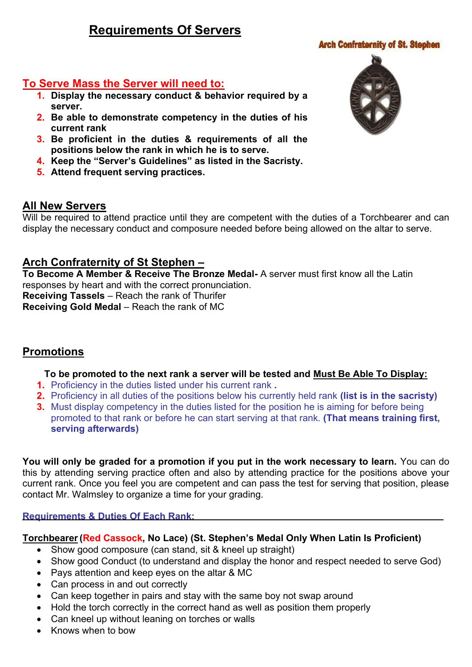# **Requirements Of Servers**

#### **Arch Confraternity of St. Stephen**

### **To Serve Mass the Server will need to:**

- **1. Display the necessary conduct & behavior required by a server.**
- **2. Be able to demonstrate competency in the duties of his current rank**
- **3. Be proficient in the duties & requirements of all the positions below the rank in which he is to serve.**
- **4. Keep the "Server's Guidelines" as listed in the Sacristy.**
- **5. Attend frequent serving practices.**

### **All New Servers**

Will be required to attend practice until they are competent with the duties of a Torchbearer and can display the necessary conduct and composure needed before being allowed on the altar to serve.

## **Arch Confraternity of St Stephen –**

**To Become A Member & Receive The Bronze Medal-** A server must first know all the Latin responses by heart and with the correct pronunciation.

**Receiving Tassels** – Reach the rank of Thurifer **Receiving Gold Medal** – Reach the rank of MC

## **Promotions**

#### **To be promoted to the next rank a server will be tested and Must Be Able To Display:**

- **1.** Proficiency in the duties listed under his current rank **.**
- **2.** Proficiency in all duties of the positions below his currently held rank **(list is in the sacristy)**
- **3.** Must display competency in the duties listed for the position he is aiming for before being promoted to that rank or before he can start serving at that rank. **(That means training first, serving afterwards)**

**You will only be graded for a promotion if you put in the work necessary to learn.** You can do this by attending serving practice often and also by attending practice for the positions above your current rank. Once you feel you are competent and can pass the test for serving that position, please contact Mr. Walmsley to organize a time for your grading.

#### **Requirements & Duties Of Each Rank:**

#### **Torchbearer(Red Cassock, No Lace) (St. Stephen's Medal Only When Latin Is Proficient)**

- Show good composure (can stand, sit & kneel up straight)
- Show good Conduct (to understand and display the honor and respect needed to serve God)
- Pays attention and keep eyes on the altar & MC
- Can process in and out correctly
- Can keep together in pairs and stay with the same boy not swap around
- Hold the torch correctly in the correct hand as well as position them properly
- Can kneel up without leaning on torches or walls
- Knows when to bow

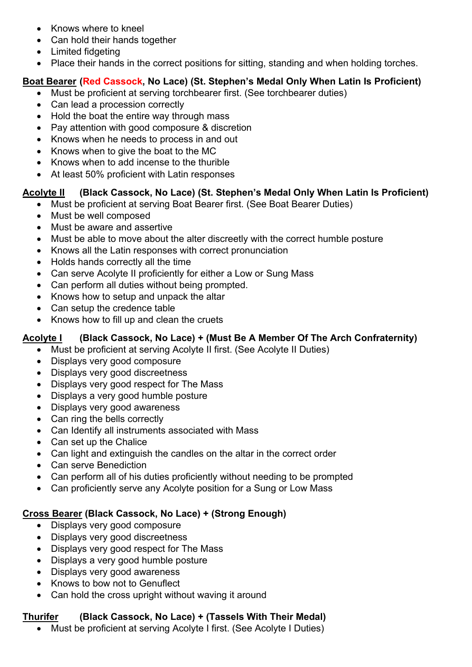- Knows where to kneel
- Can hold their hands together
- Limited fidgeting
- Place their hands in the correct positions for sitting, standing and when holding torches.

## **Boat Bearer (Red Cassock, No Lace) (St. Stephen's Medal Only When Latin Is Proficient)**

- Must be proficient at serving torchbearer first. (See torchbearer duties)
- Can lead a procession correctly
- Hold the boat the entire way through mass
- Pay attention with good composure & discretion
- Knows when he needs to process in and out
- Knows when to give the boat to the MC
- Knows when to add incense to the thurible
- At least 50% proficient with Latin responses

## **Acolyte II (Black Cassock, No Lace) (St. Stephen's Medal Only When Latin Is Proficient)**

- Must be proficient at serving Boat Bearer first. (See Boat Bearer Duties)
- Must be well composed
- Must be aware and assertive
- Must be able to move about the alter discreetly with the correct humble posture
- Knows all the Latin responses with correct pronunciation
- Holds hands correctly all the time
- Can serve Acolyte II proficiently for either a Low or Sung Mass
- Can perform all duties without being prompted.
- Knows how to setup and unpack the altar
- Can setup the credence table
- Knows how to fill up and clean the cruets

## **Acolyte I (Black Cassock, No Lace) + (Must Be A Member Of The Arch Confraternity)**

- Must be proficient at serving Acolyte II first. (See Acolyte II Duties)
- Displays very good composure
- Displays very good discreetness
- Displays very good respect for The Mass
- Displays a very good humble posture
- Displays very good awareness
- Can ring the bells correctly
- Can Identify all instruments associated with Mass
- Can set up the Chalice
- Can light and extinguish the candles on the altar in the correct order
- Can serve Benediction
- Can perform all of his duties proficiently without needing to be prompted
- Can proficiently serve any Acolyte position for a Sung or Low Mass

## **Cross Bearer (Black Cassock, No Lace) + (Strong Enough)**

- Displays very good composure
- Displays very good discreetness
- Displays very good respect for The Mass
- Displays a very good humble posture
- Displays very good awareness
- Knows to bow not to Genuflect
- Can hold the cross upright without waving it around

## **Thurifer (Black Cassock, No Lace) + (Tassels With Their Medal)**

Must be proficient at serving Acolyte I first. (See Acolyte I Duties)